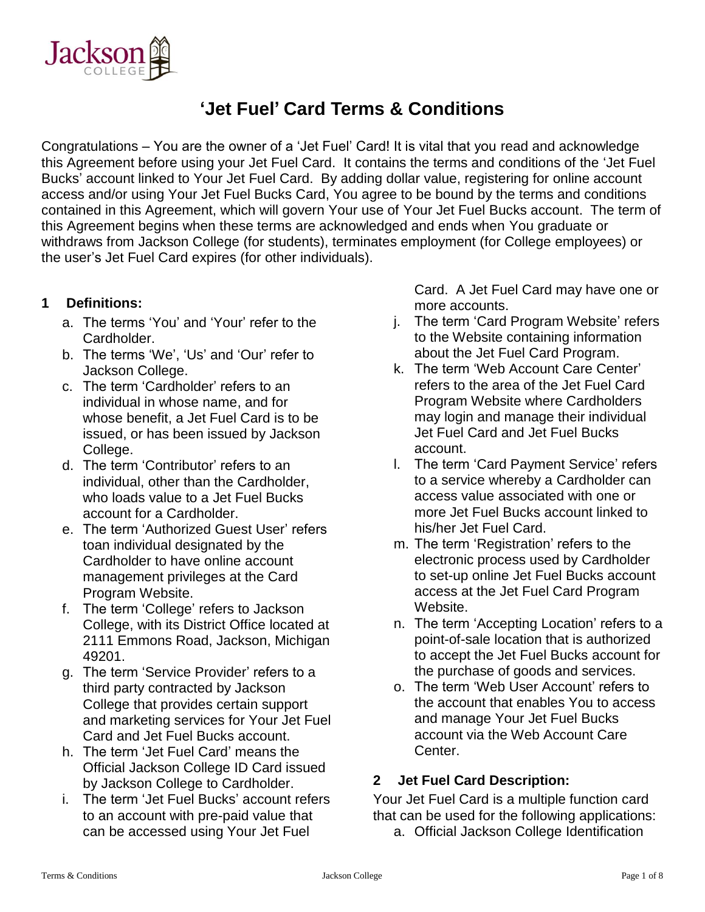

# **'Jet Fuel' Card Terms & Conditions**

Congratulations – You are the owner of a 'Jet Fuel' Card! It is vital that you read and acknowledge this Agreement before using your Jet Fuel Card. It contains the terms and conditions of the 'Jet Fuel Bucks' account linked to Your Jet Fuel Card. By adding dollar value, registering for online account access and/or using Your Jet Fuel Bucks Card, You agree to be bound by the terms and conditions contained in this Agreement, which will govern Your use of Your Jet Fuel Bucks account. The term of this Agreement begins when these terms are acknowledged and ends when You graduate or withdraws from Jackson College (for students), terminates employment (for College employees) or the user's Jet Fuel Card expires (for other individuals).

#### **1 Definitions:**

- a. The terms 'You' and 'Your' refer to the Cardholder.
- b. The terms 'We', 'Us' and 'Our' refer to Jackson College.
- c. The term 'Cardholder' refers to an individual in whose name, and for whose benefit, a Jet Fuel Card is to be issued, or has been issued by Jackson College.
- d. The term 'Contributor' refers to an individual, other than the Cardholder, who loads value to a Jet Fuel Bucks account for a Cardholder.
- e. The term 'Authorized Guest User' refers toan individual designated by the Cardholder to have online account management privileges at the Card Program Website.
- f. The term 'College' refers to Jackson College, with its District Office located at 2111 Emmons Road, Jackson, Michigan 49201.
- g. The term 'Service Provider' refers to a third party contracted by Jackson College that provides certain support and marketing services for Your Jet Fuel Card and Jet Fuel Bucks account.
- h. The term 'Jet Fuel Card' means the Official Jackson College ID Card issued by Jackson College to Cardholder.
- i. The term 'Jet Fuel Bucks' account refers to an account with pre-paid value that can be accessed using Your Jet Fuel

Card. A Jet Fuel Card may have one or more accounts.

- j. The term 'Card Program Website' refers to the Website containing information about the Jet Fuel Card Program.
- k. The term 'Web Account Care Center' refers to the area of the Jet Fuel Card Program Website where Cardholders may login and manage their individual Jet Fuel Card and Jet Fuel Bucks account.
- l. The term 'Card Payment Service' refers to a service whereby a Cardholder can access value associated with one or more Jet Fuel Bucks account linked to his/her Jet Fuel Card.
- m. The term 'Registration' refers to the electronic process used by Cardholder to set-up online Jet Fuel Bucks account access at the Jet Fuel Card Program Website.
- n. The term 'Accepting Location' refers to a point-of-sale location that is authorized to accept the Jet Fuel Bucks account for the purchase of goods and services.
- o. The term 'Web User Account' refers to the account that enables You to access and manage Your Jet Fuel Bucks account via the Web Account Care Center.

## **2 Jet Fuel Card Description:**

Your Jet Fuel Card is a multiple function card that can be used for the following applications:

a. Official Jackson College Identification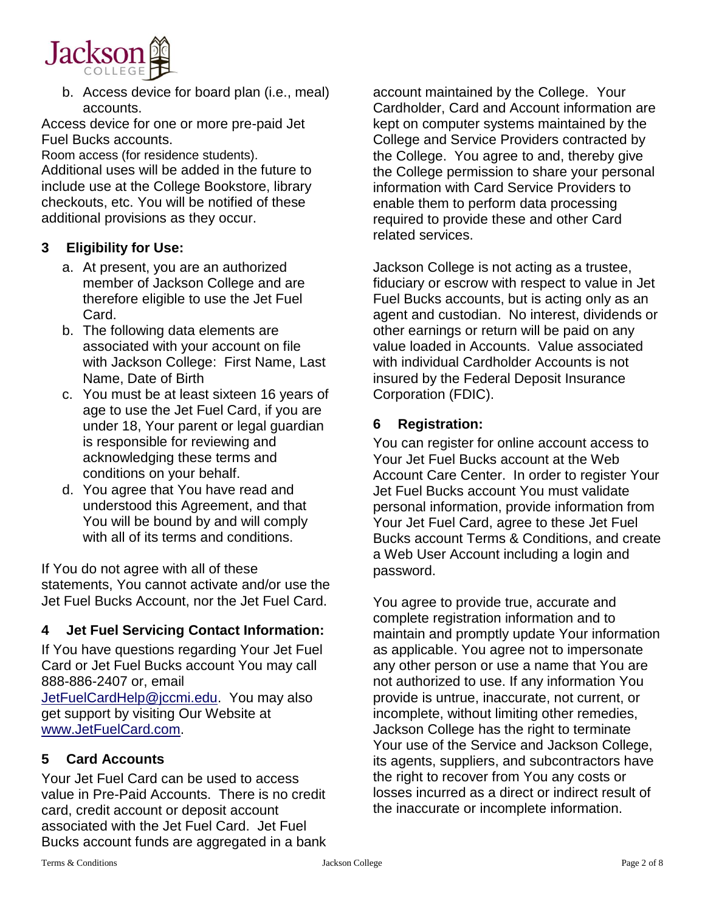

b. Access device for board plan (i.e., meal) accounts.

Access device for one or more pre-paid Jet Fuel Bucks accounts.

Room access (for residence students). Additional uses will be added in the future to include use at the College Bookstore, library checkouts, etc. You will be notified of these additional provisions as they occur.

#### **3 Eligibility for Use:**

- a. At present, you are an authorized member of Jackson College and are therefore eligible to use the Jet Fuel Card.
- b. The following data elements are associated with your account on file with Jackson College: First Name, Last Name, Date of Birth
- c. You must be at least sixteen 16 years of age to use the Jet Fuel Card, if you are under 18, Your parent or legal guardian is responsible for reviewing and acknowledging these terms and conditions on your behalf.
- d. You agree that You have read and understood this Agreement, and that You will be bound by and will comply with all of its terms and conditions.

If You do not agree with all of these statements, You cannot activate and/or use the Jet Fuel Bucks Account, nor the Jet Fuel Card.

#### **4 Jet Fuel Servicing Contact Information:**

If You have questions regarding Your Jet Fuel Card or Jet Fuel Bucks account You may call 888-886-2407 or, email [JetFuelCardHelp@jccmi.edu.](mailto:JetFuelCardHelp@jccmi.edu) You may also get support by visiting Our Website at [www.JetFuelCard.com.](http://www.jetfuelcard.com/)

## **5 Card Accounts**

Your Jet Fuel Card can be used to access value in Pre-Paid Accounts. There is no credit card, credit account or deposit account associated with the Jet Fuel Card. Jet Fuel Bucks account funds are aggregated in a bank account maintained by the College. Your Cardholder, Card and Account information are kept on computer systems maintained by the College and Service Providers contracted by the College. You agree to and, thereby give the College permission to share your personal information with Card Service Providers to enable them to perform data processing required to provide these and other Card related services.

Jackson College is not acting as a trustee, fiduciary or escrow with respect to value in Jet Fuel Bucks accounts, but is acting only as an agent and custodian. No interest, dividends or other earnings or return will be paid on any value loaded in Accounts. Value associated with individual Cardholder Accounts is not insured by the Federal Deposit Insurance Corporation (FDIC).

#### **6 Registration:**

You can register for online account access to Your Jet Fuel Bucks account at the Web Account Care Center. In order to register Your Jet Fuel Bucks account You must validate personal information, provide information from Your Jet Fuel Card, agree to these Jet Fuel Bucks account Terms & Conditions, and create a Web User Account including a login and password.

You agree to provide true, accurate and complete registration information and to maintain and promptly update Your information as applicable. You agree not to impersonate any other person or use a name that You are not authorized to use. If any information You provide is untrue, inaccurate, not current, or incomplete, without limiting other remedies, Jackson College has the right to terminate Your use of the Service and Jackson College, its agents, suppliers, and subcontractors have the right to recover from You any costs or losses incurred as a direct or indirect result of the inaccurate or incomplete information.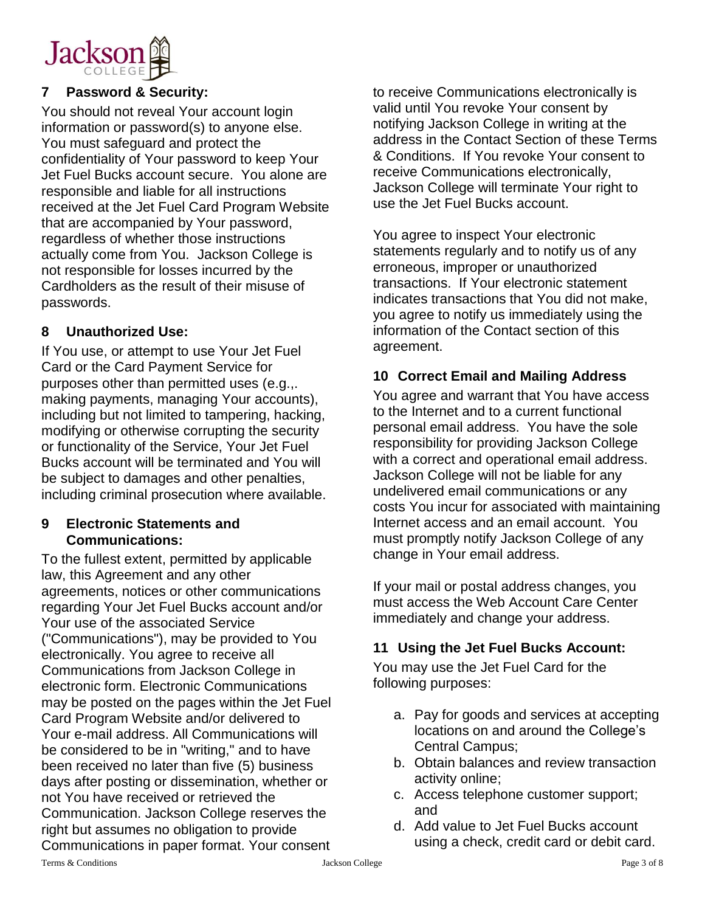

## **7 Password & Security:**

You should not reveal Your account login information or password(s) to anyone else. You must safeguard and protect the confidentiality of Your password to keep Your Jet Fuel Bucks account secure. You alone are responsible and liable for all instructions received at the Jet Fuel Card Program Website that are accompanied by Your password, regardless of whether those instructions actually come from You. Jackson College is not responsible for losses incurred by the Cardholders as the result of their misuse of passwords.

#### **8 Unauthorized Use:**

If You use, or attempt to use Your Jet Fuel Card or the Card Payment Service for purposes other than permitted uses (e.g.,. making payments, managing Your accounts), including but not limited to tampering, hacking, modifying or otherwise corrupting the security or functionality of the Service, Your Jet Fuel Bucks account will be terminated and You will be subject to damages and other penalties, including criminal prosecution where available.

#### **9 Electronic Statements and Communications:**

To the fullest extent, permitted by applicable law, this Agreement and any other agreements, notices or other communications regarding Your Jet Fuel Bucks account and/or Your use of the associated Service ("Communications"), may be provided to You electronically. You agree to receive all Communications from Jackson College in electronic form. Electronic Communications may be posted on the pages within the Jet Fuel Card Program Website and/or delivered to Your e-mail address. All Communications will be considered to be in "writing," and to have been received no later than five (5) business days after posting or dissemination, whether or not You have received or retrieved the Communication. Jackson College reserves the right but assumes no obligation to provide Communications in paper format. Your consent

to receive Communications electronically is valid until You revoke Your consent by notifying Jackson College in writing at the address in the Contact Section of these Terms & Conditions. If You revoke Your consent to receive Communications electronically, Jackson College will terminate Your right to use the Jet Fuel Bucks account.

You agree to inspect Your electronic statements regularly and to notify us of any erroneous, improper or unauthorized transactions. If Your electronic statement indicates transactions that You did not make, you agree to notify us immediately using the information of the Contact section of this agreement.

#### **10 Correct Email and Mailing Address**

You agree and warrant that You have access to the Internet and to a current functional personal email address. You have the sole responsibility for providing Jackson College with a correct and operational email address. Jackson College will not be liable for any undelivered email communications or any costs You incur for associated with maintaining Internet access and an email account. You must promptly notify Jackson College of any change in Your email address.

If your mail or postal address changes, you must access the Web Account Care Center immediately and change your address.

## **11 Using the Jet Fuel Bucks Account:**

You may use the Jet Fuel Card for the following purposes:

- a. Pay for goods and services at accepting locations on and around the College's Central Campus;
- b. Obtain balances and review transaction activity online;
- c. Access telephone customer support; and
- d. Add value to Jet Fuel Bucks account using a check, credit card or debit card.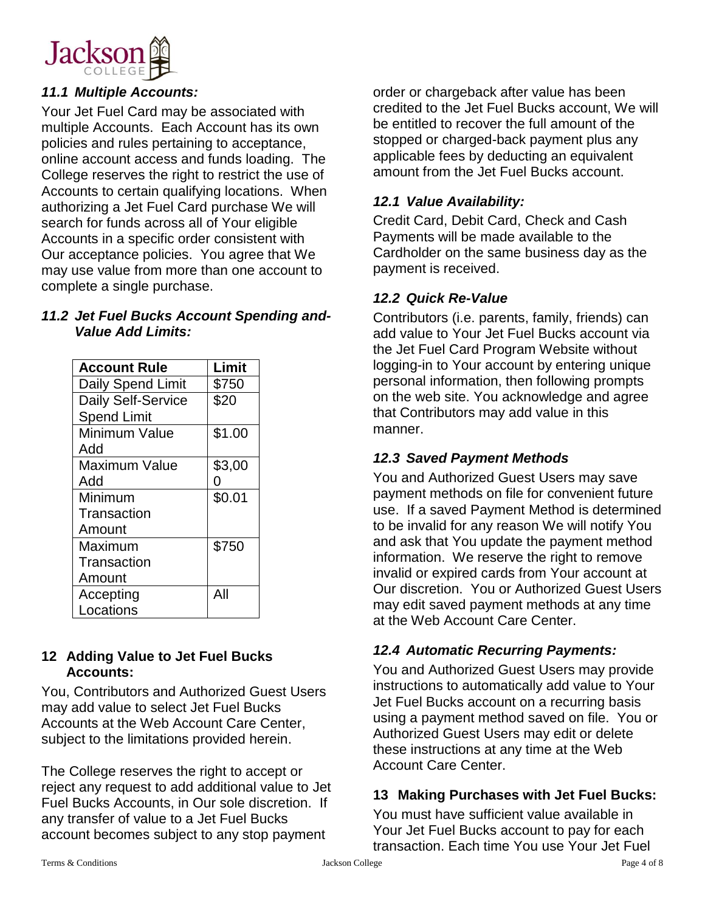

## *11.1 Multiple Accounts:*

Your Jet Fuel Card may be associated with multiple Accounts. Each Account has its own policies and rules pertaining to acceptance, online account access and funds loading. The College reserves the right to restrict the use of Accounts to certain qualifying locations. When authorizing a Jet Fuel Card purchase We will search for funds across all of Your eligible Accounts in a specific order consistent with Our acceptance policies. You agree that We may use value from more than one account to complete a single purchase.

#### *11.2 Jet Fuel Bucks Account Spending and-Value Add Limits:*

| <b>Account Rule</b>  | Limit  |
|----------------------|--------|
| Daily Spend Limit    | \$750  |
| Daily Self-Service   | \$20   |
| <b>Spend Limit</b>   |        |
| Minimum Value        | \$1.00 |
| Add                  |        |
| <b>Maximum Value</b> | \$3,00 |
| Add                  | ი      |
| Minimum              | \$0.01 |
| Transaction          |        |
| Amount               |        |
| Maximum              | \$750  |
| Transaction          |        |
| Amount               |        |
| Accepting            | All    |
| Locations            |        |

#### **12 Adding Value to Jet Fuel Bucks Accounts:**

You, Contributors and Authorized Guest Users may add value to select Jet Fuel Bucks Accounts at the Web Account Care Center, subject to the limitations provided herein.

The College reserves the right to accept or reject any request to add additional value to Jet Fuel Bucks Accounts, in Our sole discretion. If any transfer of value to a Jet Fuel Bucks account becomes subject to any stop payment

order or chargeback after value has been credited to the Jet Fuel Bucks account, We will be entitled to recover the full amount of the stopped or charged-back payment plus any applicable fees by deducting an equivalent amount from the Jet Fuel Bucks account.

#### *12.1 Value Availability:*

Credit Card, Debit Card, Check and Cash Payments will be made available to the Cardholder on the same business day as the payment is received.

#### *12.2 Quick Re-Value*

Contributors (i.e. parents, family, friends) can add value to Your Jet Fuel Bucks account via the Jet Fuel Card Program Website without logging-in to Your account by entering unique personal information, then following prompts on the web site. You acknowledge and agree that Contributors may add value in this manner.

## *12.3 Saved Payment Methods*

You and Authorized Guest Users may save payment methods on file for convenient future use. If a saved Payment Method is determined to be invalid for any reason We will notify You and ask that You update the payment method information. We reserve the right to remove invalid or expired cards from Your account at Our discretion. You or Authorized Guest Users may edit saved payment methods at any time at the Web Account Care Center.

## *12.4 Automatic Recurring Payments:*

You and Authorized Guest Users may provide instructions to automatically add value to Your Jet Fuel Bucks account on a recurring basis using a payment method saved on file. You or Authorized Guest Users may edit or delete these instructions at any time at the Web Account Care Center.

#### **13 Making Purchases with Jet Fuel Bucks:**

You must have sufficient value available in Your Jet Fuel Bucks account to pay for each transaction. Each time You use Your Jet Fuel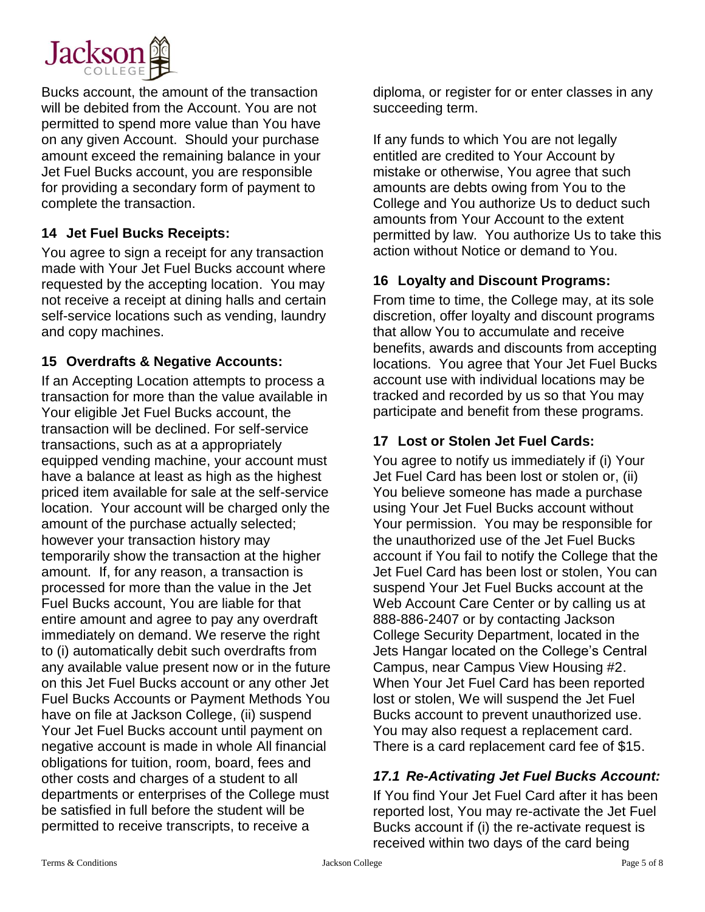

Bucks account, the amount of the transaction will be debited from the Account. You are not permitted to spend more value than You have on any given Account. Should your purchase amount exceed the remaining balance in your Jet Fuel Bucks account, you are responsible for providing a secondary form of payment to complete the transaction.

#### **14 Jet Fuel Bucks Receipts:**

You agree to sign a receipt for any transaction made with Your Jet Fuel Bucks account where requested by the accepting location. You may not receive a receipt at dining halls and certain self-service locations such as vending, laundry and copy machines.

#### **15 Overdrafts & Negative Accounts:**

If an Accepting Location attempts to process a transaction for more than the value available in Your eligible Jet Fuel Bucks account, the transaction will be declined. For self-service transactions, such as at a appropriately equipped vending machine, your account must have a balance at least as high as the highest priced item available for sale at the self-service location. Your account will be charged only the amount of the purchase actually selected; however your transaction history may temporarily show the transaction at the higher amount. If, for any reason, a transaction is processed for more than the value in the Jet Fuel Bucks account, You are liable for that entire amount and agree to pay any overdraft immediately on demand. We reserve the right to (i) automatically debit such overdrafts from any available value present now or in the future on this Jet Fuel Bucks account or any other Jet Fuel Bucks Accounts or Payment Methods You have on file at Jackson College, (ii) suspend Your Jet Fuel Bucks account until payment on negative account is made in whole All financial obligations for tuition, room, board, fees and other costs and charges of a student to all departments or enterprises of the College must be satisfied in full before the student will be permitted to receive transcripts, to receive a

diploma, or register for or enter classes in any succeeding term.

If any funds to which You are not legally entitled are credited to Your Account by mistake or otherwise, You agree that such amounts are debts owing from You to the College and You authorize Us to deduct such amounts from Your Account to the extent permitted by law. You authorize Us to take this action without Notice or demand to You.

## **16 Loyalty and Discount Programs:**

From time to time, the College may, at its sole discretion, offer loyalty and discount programs that allow You to accumulate and receive benefits, awards and discounts from accepting locations. You agree that Your Jet Fuel Bucks account use with individual locations may be tracked and recorded by us so that You may participate and benefit from these programs.

#### **17 Lost or Stolen Jet Fuel Cards:**

You agree to notify us immediately if (i) Your Jet Fuel Card has been lost or stolen or, (ii) You believe someone has made a purchase using Your Jet Fuel Bucks account without Your permission. You may be responsible for the unauthorized use of the Jet Fuel Bucks account if You fail to notify the College that the Jet Fuel Card has been lost or stolen, You can suspend Your Jet Fuel Bucks account at the Web Account Care Center or by calling us at 888-886-2407 or by contacting Jackson College Security Department, located in the Jets Hangar located on the College's Central Campus, near Campus View Housing #2. When Your Jet Fuel Card has been reported lost or stolen, We will suspend the Jet Fuel Bucks account to prevent unauthorized use. You may also request a replacement card. There is a card replacement card fee of \$15.

## *17.1 Re-Activating Jet Fuel Bucks Account:*

If You find Your Jet Fuel Card after it has been reported lost, You may re-activate the Jet Fuel Bucks account if (i) the re-activate request is received within two days of the card being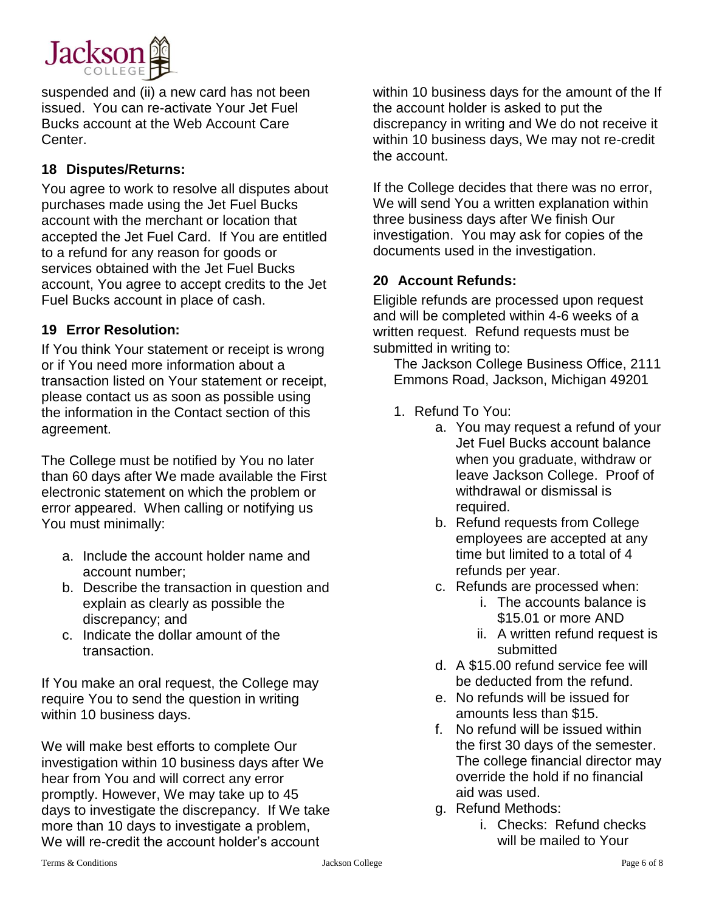

suspended and (ii) a new card has not been issued. You can re-activate Your Jet Fuel Bucks account at the Web Account Care Center.

#### **18 Disputes/Returns:**

You agree to work to resolve all disputes about purchases made using the Jet Fuel Bucks account with the merchant or location that accepted the Jet Fuel Card.If You are entitled to a refund for any reason for goods or services obtained with the Jet Fuel Bucks account, You agree to accept credits to the Jet Fuel Bucks account in place of cash.

#### **19 Error Resolution:**

If You think Your statement or receipt is wrong or if You need more information about a transaction listed on Your statement or receipt, please contact us as soon as possible using the information in the Contact section of this agreement.

The College must be notified by You no later than 60 days after We made available the First electronic statement on which the problem or error appeared. When calling or notifying us You must minimally:

- a. Include the account holder name and account number;
- b. Describe the transaction in question and explain as clearly as possible the discrepancy; and
- c. Indicate the dollar amount of the transaction.

If You make an oral request, the College may require You to send the question in writing within 10 business days.

We will make best efforts to complete Our investigation within 10 business days after We hear from You and will correct any error promptly. However, We may take up to 45 days to investigate the discrepancy. If We take more than 10 days to investigate a problem, We will re-credit the account holder's account

within 10 business days for the amount of the If the account holder is asked to put the discrepancy in writing and We do not receive it within 10 business days, We may not re-credit the account.

If the College decides that there was no error, We will send You a written explanation within three business days after We finish Our investigation. You may ask for copies of the documents used in the investigation.

## **20 Account Refunds:**

Eligible refunds are processed upon request and will be completed within 4-6 weeks of a written request. Refund requests must be submitted in writing to:

The Jackson College Business Office, 2111 Emmons Road, Jackson, Michigan 49201

- 1. Refund To You:
	- a. You may request a refund of your Jet Fuel Bucks account balance when you graduate, withdraw or leave Jackson College. Proof of withdrawal or dismissal is required.
	- b. Refund requests from College employees are accepted at any time but limited to a total of 4 refunds per year.
	- c. Refunds are processed when:
		- i. The accounts balance is \$15.01 or more AND
		- ii. A written refund request is submitted
	- d. A \$15.00 refund service fee will be deducted from the refund.
	- e. No refunds will be issued for amounts less than \$15.
	- f. No refund will be issued within the first 30 days of the semester. The college financial director may override the hold if no financial aid was used.
	- g. Refund Methods:
		- i. Checks: Refund checks will be mailed to Your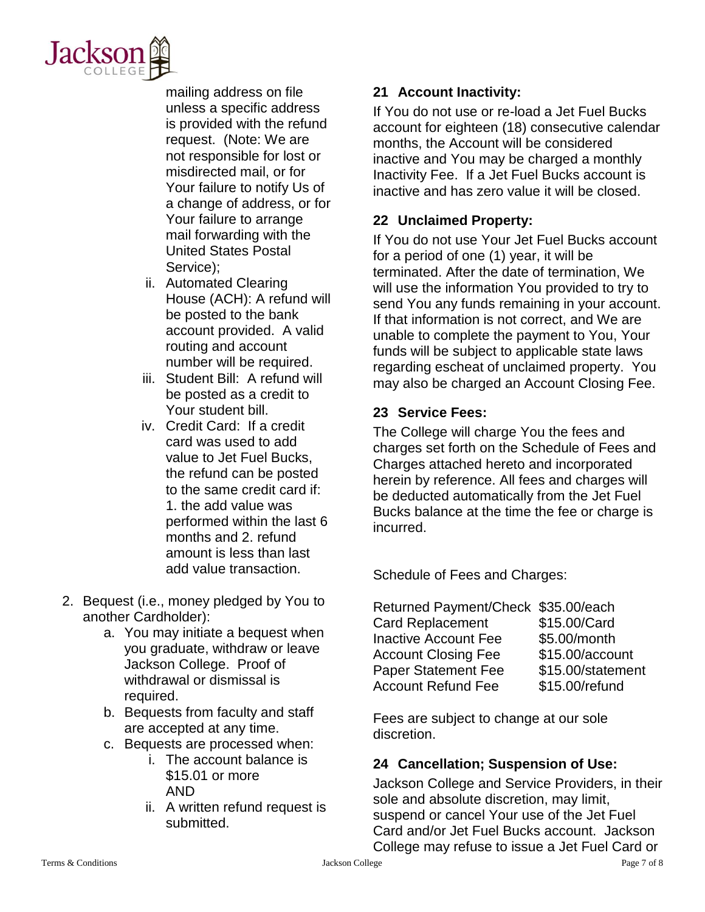

mailing address on file unless a specific address is provided with the refund request. (Note: We are not responsible for lost or misdirected mail, or for Your failure to notify Us of a change of address, or for Your failure to arrange mail forwarding with the United States Postal Service);

- ii. Automated Clearing House (ACH): A refund will be posted to the bank account provided. A valid routing and account number will be required.
- iii. Student Bill: A refund will be posted as a credit to Your student bill.
- iv. Credit Card: If a credit card was used to add value to Jet Fuel Bucks, the refund can be posted to the same credit card if: 1. the add value was performed within the last 6 months and 2. refund amount is less than last add value transaction.
- 2. Bequest (i.e., money pledged by You to another Cardholder):
	- a. You may initiate a bequest when you graduate, withdraw or leave Jackson College. Proof of withdrawal or dismissal is required.
	- b. Bequests from faculty and staff are accepted at any time.
	- c. Bequests are processed when:
		- i. The account balance is \$15.01 or more AND
		- ii. A written refund request is submitted.

# **21 Account Inactivity:**

If You do not use or re-load a Jet Fuel Bucks account for eighteen (18) consecutive calendar months, the Account will be considered inactive and You may be charged a monthly Inactivity Fee. If a Jet Fuel Bucks account is inactive and has zero value it will be closed.

# **22 Unclaimed Property:**

If You do not use Your Jet Fuel Bucks account for a period of one (1) year, it will be terminated. After the date of termination, We will use the information You provided to try to send You any funds remaining in your account. If that information is not correct, and We are unable to complete the payment to You, Your funds will be subject to applicable state laws regarding escheat of unclaimed property. You may also be charged an Account Closing Fee.

## **23 Service Fees:**

The College will charge You the fees and charges set forth on the Schedule of Fees and Charges attached hereto and incorporated herein by reference. All fees and charges will be deducted automatically from the Jet Fuel Bucks balance at the time the fee or charge is incurred.

Schedule of Fees and Charges:

| Returned Payment/Check \$35.00/each |                   |
|-------------------------------------|-------------------|
| <b>Card Replacement</b>             | \$15.00/Card      |
| <b>Inactive Account Fee</b>         | \$5.00/month      |
| <b>Account Closing Fee</b>          | \$15.00/account   |
| <b>Paper Statement Fee</b>          | \$15.00/statement |
| <b>Account Refund Fee</b>           | \$15.00/refund    |

Fees are subject to change at our sole discretion.

## **24 Cancellation; Suspension of Use:**

Jackson College and Service Providers, in their sole and absolute discretion, may limit, suspend or cancel Your use of the Jet Fuel Card and/or Jet Fuel Bucks account. Jackson College may refuse to issue a Jet Fuel Card or